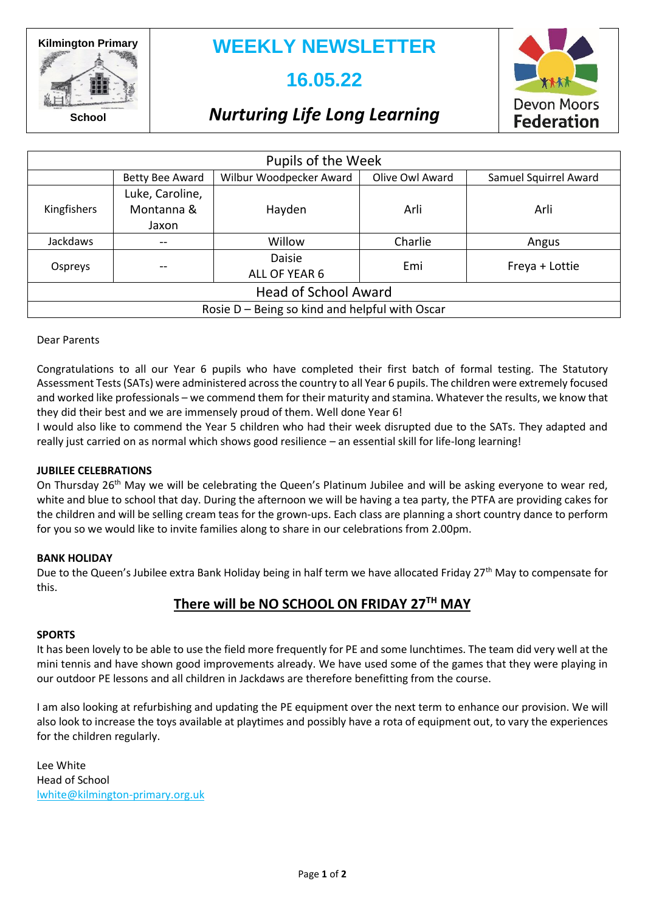**Kilmington Primary**

### **WEEKLY NEWSLETTER**

### **16.05.22**



**School**

# *Nurturing Life Long Learning*

| Pupils of the Week                             |                 |                                |                 |                       |  |
|------------------------------------------------|-----------------|--------------------------------|-----------------|-----------------------|--|
|                                                | Betty Bee Award | Wilbur Woodpecker Award        | Olive Owl Award | Samuel Squirrel Award |  |
| Kingfishers                                    | Luke, Caroline, |                                |                 |                       |  |
|                                                | Montanna &      | Hayden                         | Arli            | Arli                  |  |
|                                                | Jaxon           |                                |                 |                       |  |
| Jackdaws                                       |                 | Willow                         | Charlie         | Angus                 |  |
| Ospreys                                        |                 | <b>Daisie</b><br>ALL OF YEAR 6 | Emi             | Freya + Lottie        |  |
| <b>Head of School Award</b>                    |                 |                                |                 |                       |  |
| Rosie D – Being so kind and helpful with Oscar |                 |                                |                 |                       |  |

Dear Parents

Congratulations to all our Year 6 pupils who have completed their first batch of formal testing. The Statutory Assessment Tests (SATs) were administered across the country to all Year 6 pupils. The children were extremely focused and worked like professionals – we commend them for their maturity and stamina. Whatever the results, we know that they did their best and we are immensely proud of them. Well done Year 6!

I would also like to commend the Year 5 children who had their week disrupted due to the SATs. They adapted and really just carried on as normal which shows good resilience – an essential skill for life-long learning!

### **JUBILEE CELEBRATIONS**

On Thursday 26<sup>th</sup> May we will be celebrating the Queen's Platinum Jubilee and will be asking everyone to wear red, white and blue to school that day. During the afternoon we will be having a tea party, the PTFA are providing cakes for the children and will be selling cream teas for the grown-ups. Each class are planning a short country dance to perform for you so we would like to invite families along to share in our celebrations from 2.00pm.

#### **BANK HOLIDAY**

Due to the Queen's Jubilee extra Bank Holiday being in half term we have allocated Friday 27<sup>th</sup> May to compensate for this.

### **There will be NO SCHOOL ON FRIDAY 27TH MAY**

#### **SPORTS**

It has been lovely to be able to use the field more frequently for PE and some lunchtimes. The team did very well at the mini tennis and have shown good improvements already. We have used some of the games that they were playing in our outdoor PE lessons and all children in Jackdaws are therefore benefitting from the course.

I am also looking at refurbishing and updating the PE equipment over the next term to enhance our provision. We will also look to increase the toys available at playtimes and possibly have a rota of equipment out, to vary the experiences for the children regularly.

Lee White Head of School [lwhite@kilmington-primary.org.uk](mailto:lwhite@kilmington-primary.org.uk)